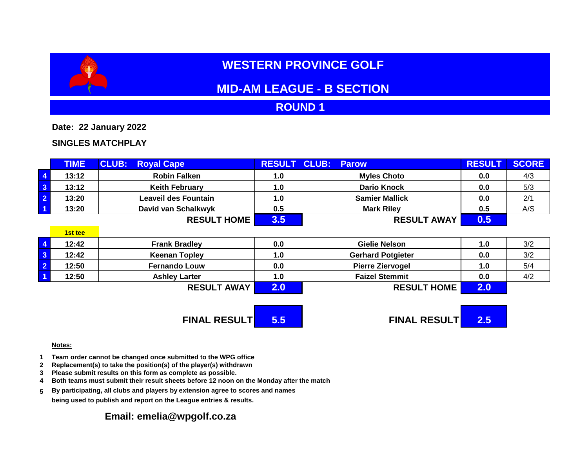# **WESTERN PROVINCE GOLF**

# **MID-AM LEAGUE - B SECTION**

## **ROUND 1**

**Date: 22 January 2022**

### **SINGLES MATCHPLAY**

|                                                            | TIME,   | <b>CLUB:</b><br><b>Royal Cape</b> | <b>RESULT</b> | <b>CLUB:</b><br><b>Parow</b> | <b>RESULT</b> | <b>SCORE</b> |
|------------------------------------------------------------|---------|-----------------------------------|---------------|------------------------------|---------------|--------------|
| $\overline{4}$                                             | 13:12   | <b>Robin Falken</b>               | 1.0           | <b>Myles Choto</b>           | 0.0           | 4/3          |
| $\mathbf{3}$                                               | 13:12   | <b>Keith February</b>             | 1.0           | <b>Dario Knock</b>           | 0.0           | 5/3          |
| $\overline{2}$                                             | 13:20   | <b>Leaveil des Fountain</b>       | 1.0           | <b>Samier Mallick</b>        | 0.0           | 2/1          |
|                                                            | 13:20   | David van Schalkwyk               | 0.5           | <b>Mark Riley</b>            | 0.5           | A/S          |
|                                                            |         | <b>RESULT HOME</b>                | 3.5           | <b>RESULT AWAY</b>           | 0.5           |              |
|                                                            | 1st tee |                                   |               |                              |               |              |
| $\overline{4}$                                             | 12:42   | <b>Frank Bradley</b>              | 0.0           | <b>Gielie Nelson</b>         | 1.0           | 3/2          |
| $\mathbf{3}$                                               | 12:42   | <b>Keenan Topley</b>              | 1.0           | <b>Gerhard Potgieter</b>     | 0.0           | 3/2          |
| $\overline{2}$                                             | 12:50   | <b>Fernando Louw</b>              | 0.0           | <b>Pierre Ziervogel</b>      | 1.0           | 5/4          |
| $\blacktriangleleft$                                       | 12:50   | <b>Ashley Larter</b>              | 1.0           | <b>Faizel Stemmit</b>        | 0.0           | 4/2          |
|                                                            |         | <b>RESULT AWAY</b>                | 2.0           | <b>RESULT HOME</b>           | 2.0           |              |
| <b>FINAL RESULTI</b><br><b>FINAL RESULTI</b><br>5.5<br>2.5 |         |                                   |               |                              |               |              |

#### **Notes:**

- **1 Team order cannot be changed once submitted to the WPG office**
- **2 Replacement(s) to take the position(s) of the player(s) withdrawn**
- **3 Please submit results on this form as complete as possible.**
- **4 Both teams must submit their result sheets before 12 noon on the Monday after the match**
- **5 By participating, all clubs and players by extension agree to scores and names being used to publish and report on the League entries & results.**

### **Email: emelia@wpgolf.co.za**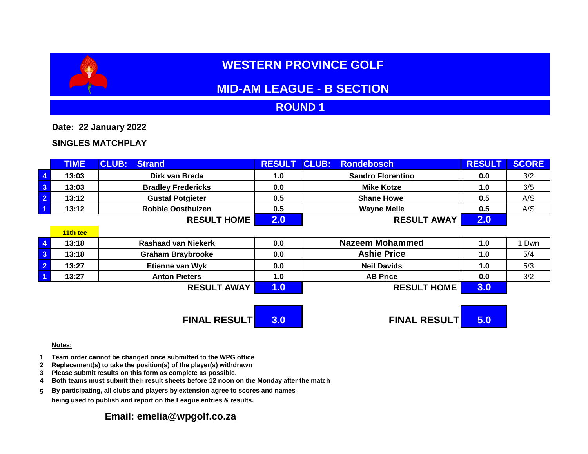# **WESTERN PROVINCE GOLF**

# **MID-AM LEAGUE - B SECTION**

## **ROUND 1**

**Date: 22 January 2022**

### **SINGLES MATCHPLAY**

|                         | <b>TIME</b> | <b>CLUB:</b><br><b>Strand</b> | <b>RESULT</b>        | <b>CLUB:</b><br><b>Rondebosch</b> | <b>RESULT</b> | <b>SCORE</b> |
|-------------------------|-------------|-------------------------------|----------------------|-----------------------------------|---------------|--------------|
| $\overline{4}$          | 13:03       | Dirk van Breda                | 1.0                  | <b>Sandro Florentino</b>          | 0.0           | 3/2          |
| 3                       | 13:03       | <b>Bradley Fredericks</b>     | 0.0                  | <b>Mike Kotze</b>                 | 1.0           | 6/5          |
| $\overline{2}$          | 13:12       | <b>Gustaf Potgieter</b>       | 0.5                  | <b>Shane Howe</b>                 | 0.5           | A/S          |
| $\overline{\mathbf{1}}$ | 13:12       | <b>Robbie Oosthuizen</b>      | 0.5                  | <b>Wayne Melle</b>                | 0.5           | A/S          |
|                         |             | <b>RESULT HOME</b>            | 2.0                  | <b>RESULT AWAY</b>                | 2.0           |              |
|                         | 11th tee    |                               |                      |                                   |               |              |
| $\overline{\mathbf{4}}$ | 13:18       | <b>Rashaad van Niekerk</b>    | 0.0                  | <b>Nazeem Mohammed</b>            | 1.0           | Dwn          |
| $\mathbf{3}$            | 13:18       | <b>Graham Braybrooke</b>      | 0.0                  | <b>Ashie Price</b>                | 1.0           | 5/4          |
| $\overline{2}$          | 13:27       | <b>Etienne van Wyk</b>        | 0.0                  | <b>Neil Davids</b>                | 1.0           | 5/3          |
|                         | 13:27       | <b>Anton Pieters</b>          | 1.0                  | <b>AB Price</b>                   | 0.0           | 3/2          |
|                         |             | <b>RESULT AWAY</b>            | 1.0                  | <b>RESULT HOME</b>                | 3.0           |              |
|                         |             |                               |                      |                                   |               |              |
|                         |             | <b>FINAL RESULTI</b>          | <b>FINAL RESULTI</b> | 5.0                               |               |              |

#### **Notes:**

- **1 Team order cannot be changed once submitted to the WPG office**
- **2 Replacement(s) to take the position(s) of the player(s) withdrawn**
- **3 Please submit results on this form as complete as possible.**
- **4 Both teams must submit their result sheets before 12 noon on the Monday after the match**
- **5 By participating, all clubs and players by extension agree to scores and names being used to publish and report on the League entries & results.**

### **Email: emelia@wpgolf.co.za**